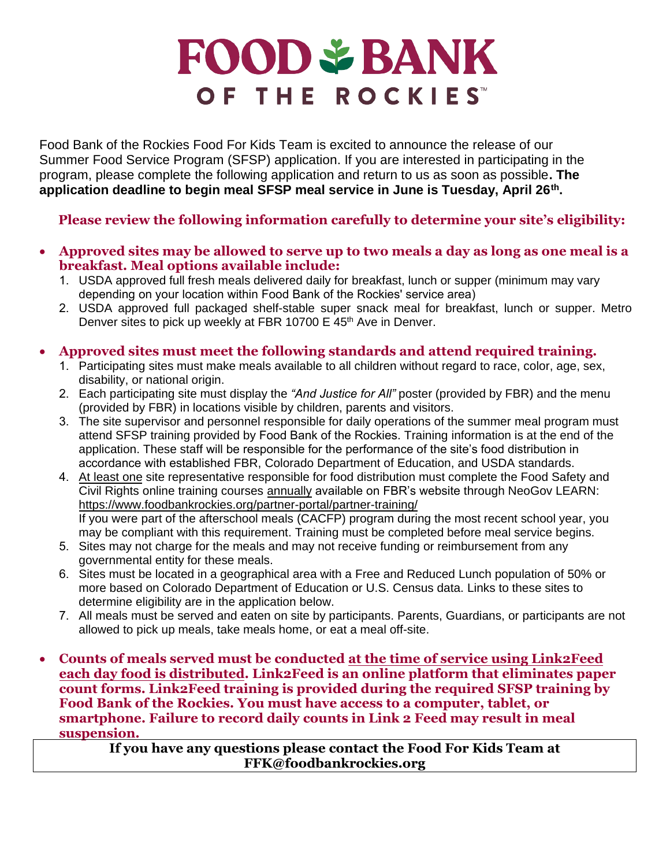# **FOOD & BANK** OF THE ROCKIES

Food Bank of the Rockies Food For Kids Team is excited to announce the release of our Summer Food Service Program (SFSP) application. If you are interested in participating in the program, please complete the following application and return to us as soon as possible**. The application deadline to begin meal SFSP meal service in June is Tuesday, April 26 th .** 

## **Please review the following information carefully to determine your site's eligibility:**

- **Approved sites may be allowed to serve up to two meals a day as long as one meal is a breakfast. Meal options available include:**
	- 1. USDA approved full fresh meals delivered daily for breakfast, lunch or supper (minimum may vary depending on your location within Food Bank of the Rockies' service area)
	- 2. USDA approved full packaged shelf-stable super snack meal for breakfast, lunch or supper. Metro Denver sites to pick up weekly at FBR 10700 E 45<sup>th</sup> Ave in Denver.

## • **Approved sites must meet the following standards and attend required training.**

- 1. Participating sites must make meals available to all children without regard to race, color, age, sex, disability, or national origin.
- 2. Each participating site must display the *"And Justice for All"* poster (provided by FBR) and the menu (provided by FBR) in locations visible by children, parents and visitors.
- 3. The site supervisor and personnel responsible for daily operations of the summer meal program must attend SFSP training provided by Food Bank of the Rockies. Training information is at the end of the application. These staff will be responsible for the performance of the site's food distribution in accordance with established FBR, Colorado Department of Education, and USDA standards.
- 4. At least one site representative responsible for food distribution must complete the Food Safety and Civil Rights online training courses annually available on FBR's website through NeoGov LEARN: <https://www.foodbankrockies.org/partner-portal/partner-training/> If you were part of the afterschool meals (CACFP) program during the most recent school year, you may be compliant with this requirement. Training must be completed before meal service begins.
- 5. Sites may not charge for the meals and may not receive funding or reimbursement from any governmental entity for these meals.
- 6. Sites must be located in a geographical area with a Free and Reduced Lunch population of 50% or more based on Colorado Department of Education or U.S. Census data. Links to these sites to determine eligibility are in the application below.
- 7. All meals must be served and eaten on site by participants. Parents, Guardians, or participants are not allowed to pick up meals, take meals home, or eat a meal off-site.
- **Counts of meals served must be conducted at the time of service using Link2Feed each day food is distributed. Link2Feed is an online platform that eliminates paper count forms. Link2Feed training is provided during the required SFSP training by Food Bank of the Rockies. You must have access to a computer, tablet, or smartphone. Failure to record daily counts in Link 2 Feed may result in meal suspension.**

**If you have any questions please contact the Food For Kids Team at FFK@foodbankrockies.org**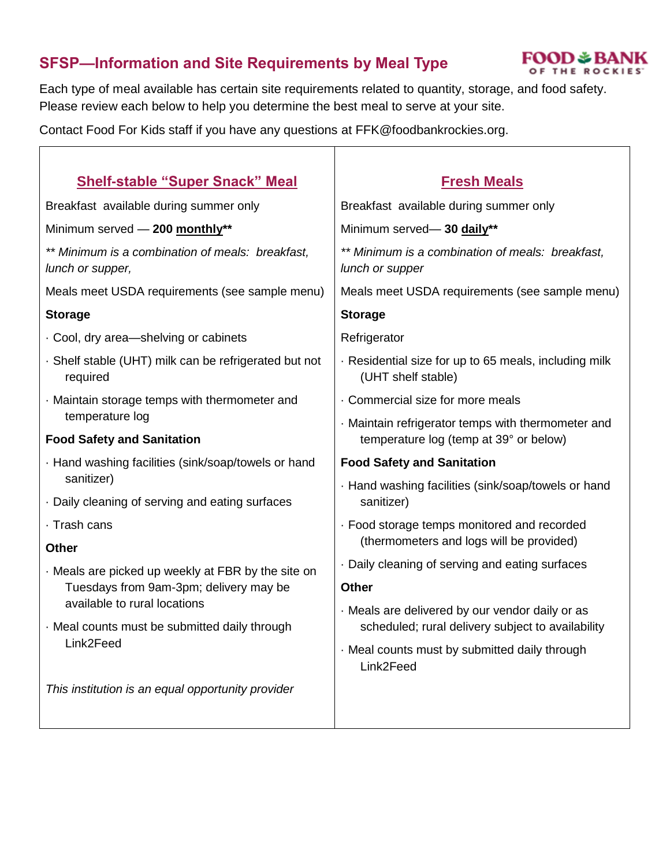# **SFSP—Information and Site Requirements by Meal Type**



Each type of meal available has certain site requirements related to quantity, storage, and food safety. Please review each below to help you determine the best meal to serve at your site.

Τ

Contact Food For Kids staff if you have any questions at FFK@foodbankrockies.org.

| <b>Shelf-stable "Super Snack" Meal</b>                                 | <b>Fresh Meals</b>                                                                                   |
|------------------------------------------------------------------------|------------------------------------------------------------------------------------------------------|
| Breakfast available during summer only                                 | Breakfast available during summer only                                                               |
| Minimum served - 200 monthly**                                         | Minimum served-30 daily**                                                                            |
| ** Minimum is a combination of meals: breakfast,<br>lunch or supper,   | ** Minimum is a combination of meals: breakfast,<br>lunch or supper                                  |
| Meals meet USDA requirements (see sample menu)                         | Meals meet USDA requirements (see sample menu)                                                       |
| <b>Storage</b>                                                         | <b>Storage</b>                                                                                       |
| · Cool, dry area-shelving or cabinets                                  | Refrigerator                                                                                         |
| · Shelf stable (UHT) milk can be refrigerated but not<br>required      | Residential size for up to 65 meals, including milk<br>(UHT shelf stable)                            |
| · Maintain storage temps with thermometer and                          | . Commercial size for more meals                                                                     |
| temperature log<br><b>Food Safety and Sanitation</b>                   | · Maintain refrigerator temps with thermometer and<br>temperature log (temp at 39° or below)         |
| · Hand washing facilities (sink/soap/towels or hand                    | <b>Food Safety and Sanitation</b>                                                                    |
| sanitizer)<br>Daily cleaning of serving and eating surfaces            | · Hand washing facilities (sink/soap/towels or hand<br>sanitizer)                                    |
| · Trash cans                                                           | · Food storage temps monitored and recorded                                                          |
| <b>Other</b>                                                           | (thermometers and logs will be provided)                                                             |
| · Meals are picked up weekly at FBR by the site on                     | . Daily cleaning of serving and eating surfaces                                                      |
| Tuesdays from 9am-3pm; delivery may be<br>available to rural locations | Other                                                                                                |
| · Meal counts must be submitted daily through                          | · Meals are delivered by our vendor daily or as<br>scheduled; rural delivery subject to availability |
| Link2Feed                                                              | · Meal counts must by submitted daily through<br>Link2Feed                                           |
| This institution is an equal opportunity provider                      |                                                                                                      |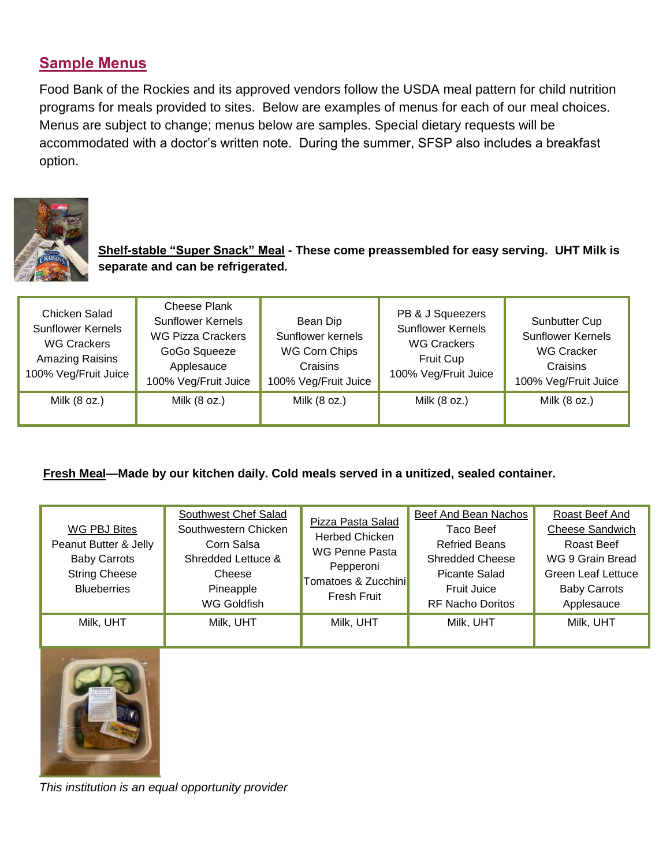## **Sample Menus**

Food Bank of the Rockies and its approved vendors follow the USDA meal pattern for child nutrition programs for meals provided to sites. Below are examples of menus for each of our meal choices. Menus are subject to change; menus below are samples. Special dietary requests will be accommodated with a doctor's written note. During the summer, SFSP also includes a breakfast option.



**Shelf-stable "Super Snack" Meal - These come preassembled for easy serving. UHT Milk is separate and can be refrigerated.** 

| Chicken Salad<br><b>Sunflower Kernels</b><br><b>WG Crackers</b><br>Amazing Raisins<br>100% Veg/Fruit Juice | <b>Cheese Plank</b><br><b>Sunflower Kernels</b><br><b>WG Pizza Crackers</b><br>GoGo Squeeze<br>Applesauce<br>100% Veg/Fruit Juice | Bean Dip<br>Sunflower kernels<br><b>WG Corn Chips</b><br>Craisins<br>100% Veg/Fruit Juice | PB & J Squeezers<br><b>Sunflower Kernels</b><br><b>WG Crackers</b><br><b>Fruit Cup</b><br>100% Veg/Fruit Juice | Sunbutter Cup<br><b>Sunflower Kernels</b><br><b>WG Cracker</b><br>Craisins<br>100% Veg/Fruit Juice |
|------------------------------------------------------------------------------------------------------------|-----------------------------------------------------------------------------------------------------------------------------------|-------------------------------------------------------------------------------------------|----------------------------------------------------------------------------------------------------------------|----------------------------------------------------------------------------------------------------|
| Milk (8 oz.)                                                                                               | Milk (8 oz.)                                                                                                                      | Milk (8 oz.)                                                                              | Milk (8 oz.)                                                                                                   | Milk (8 oz.)                                                                                       |

#### **Fresh Meal—Made by our kitchen daily. Cold meals served in a unitized, sealed container.**

| WG PBJ Bites<br>Peanut Butter & Jelly<br><b>Baby Carrots</b><br><b>String Cheese</b><br><b>Blueberries</b> | Southwest Chef Salad<br>Southwestern Chicken<br>Corn Salsa<br>Shredded Lettuce &<br>Cheese<br>Pineapple<br><b>WG Goldfish</b> | Pizza Pasta Salad<br><b>Herbed Chicken</b><br>WG Penne Pasta<br>Pepperoni<br>Tomatoes & Zucchini<br>Fresh Fruit | Beef And Bean Nachos<br>Taco Beef<br><b>Refried Beans</b><br><b>Shredded Cheese</b><br>Picante Salad<br>Fruit Juice<br><b>RF Nacho Doritos</b> | Roast Beef And<br><b>Cheese Sandwich</b><br>Roast Beef<br>WG 9 Grain Bread<br><b>Green Leaf Lettuce</b><br><b>Baby Carrots</b><br>Applesauce |
|------------------------------------------------------------------------------------------------------------|-------------------------------------------------------------------------------------------------------------------------------|-----------------------------------------------------------------------------------------------------------------|------------------------------------------------------------------------------------------------------------------------------------------------|----------------------------------------------------------------------------------------------------------------------------------------------|
| Milk, UHT                                                                                                  | Milk, UHT                                                                                                                     | Milk, UHT                                                                                                       | Milk, UHT                                                                                                                                      | Milk, UHT                                                                                                                                    |



*This institution is an equal opportunity provider*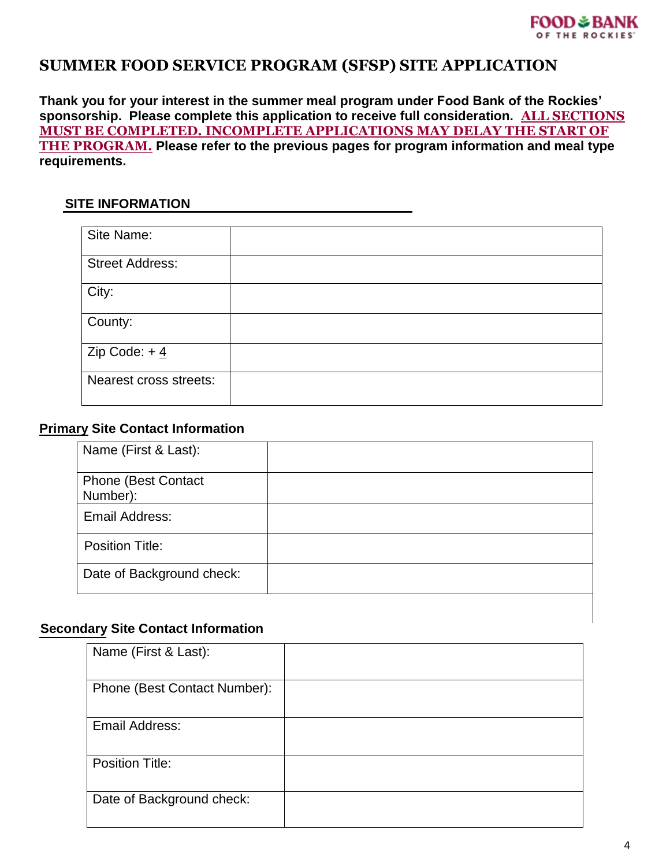## **SUMMER FOOD SERVICE PROGRAM (SFSP) SITE APPLICATION**

**Thank you for your interest in the summer meal program under Food Bank of the Rockies' sponsorship. Please complete this application to receive full consideration. ALL SECTIONS MUST BE COMPLETED. INCOMPLETE APPLICATIONS MAY DELAY THE START OF THE PROGRAM. Please refer to the previous pages for program information and meal type requirements.**

#### **SITE INFORMATION**

| Site Name:             |  |
|------------------------|--|
| <b>Street Address:</b> |  |
| City:                  |  |
| County:                |  |
| Zip Code: $+4$         |  |
| Nearest cross streets: |  |

#### **Primary Site Contact Information**

| Name (First & Last):                   |  |
|----------------------------------------|--|
| <b>Phone (Best Contact</b><br>Number): |  |
| <b>Email Address:</b>                  |  |
| <b>Position Title:</b>                 |  |
| Date of Background check:              |  |

#### **Secondary Site Contact Information**

| Name (First & Last):         |  |
|------------------------------|--|
| Phone (Best Contact Number): |  |
| Email Address:               |  |
| <b>Position Title:</b>       |  |
| Date of Background check:    |  |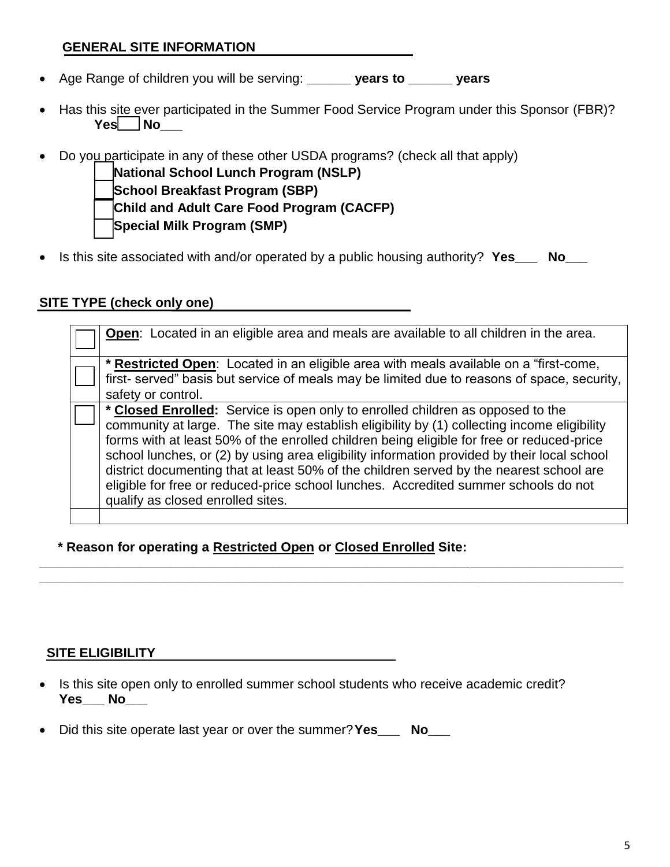## **GENERAL SITE INFORMATION**

- Age Range of children you will be serving: **\_\_\_\_\_\_ years to \_\_\_\_\_\_ years**
- Has this site ever participated in the Summer Food Service Program under this Sponsor (FBR)?  **Yes\_\_ No\_\_\_**
- Do you participate in any of these other USDA programs? (check all that apply)

**꙱ National School Lunch Program (NSLP) ꙱ School Breakfast Program (SBP) ꙱ Child and Adult Care Food Program (CACFP) ꙱ Special Milk Program (SMP)**

• Is this site associated with and/or operated by a public housing authority? **Yes\_\_\_ No\_\_\_**

## **SITE TYPE (check only one)**

**Open**: Located in an eligible area and meals are available to all children in the area. **\* Restricted Open**: Located in an eligible area with meals available on a "first-come, first- served" basis but service of meals may be limited due to reasons of space, security, safety or control. **\* Closed Enrolled:** Service is open only to enrolled children as opposed to the community at large. The site may establish eligibility by (1) collecting income eligibility forms with at least 50% of the enrolled children being eligible for free or reduced-price school lunches, or (2) by using area eligibility information provided by their local school district documenting that at least 50% of the children served by the nearest school are eligible for free or reduced-price school lunches. Accredited summer schools do not qualify as closed enrolled sites.

**\_\_\_\_\_\_\_\_\_\_\_\_\_\_\_\_\_\_\_\_\_\_\_\_\_\_\_\_\_\_\_\_\_\_\_\_\_\_\_\_\_\_\_\_\_\_\_\_\_\_\_\_\_\_\_\_\_\_\_\_\_\_\_\_\_\_\_\_\_\_\_\_\_\_\_\_\_\_\_\_ \_\_\_\_\_\_\_\_\_\_\_\_\_\_\_\_\_\_\_\_\_\_\_\_\_\_\_\_\_\_\_\_\_\_\_\_\_\_\_\_\_\_\_\_\_\_\_\_\_\_\_\_\_\_\_\_\_\_\_\_\_\_\_\_\_\_\_\_\_\_\_\_\_\_\_\_\_\_\_\_**

 **\* Reason for operating a Restricted Open or Closed Enrolled Site:**

## **SITE ELIGIBILITY**

- Is this site open only to enrolled summer school students who receive academic credit? **Yes\_\_\_ No\_\_\_**
- Did this site operate last year or over the summer?**Yes\_\_\_ No\_\_\_**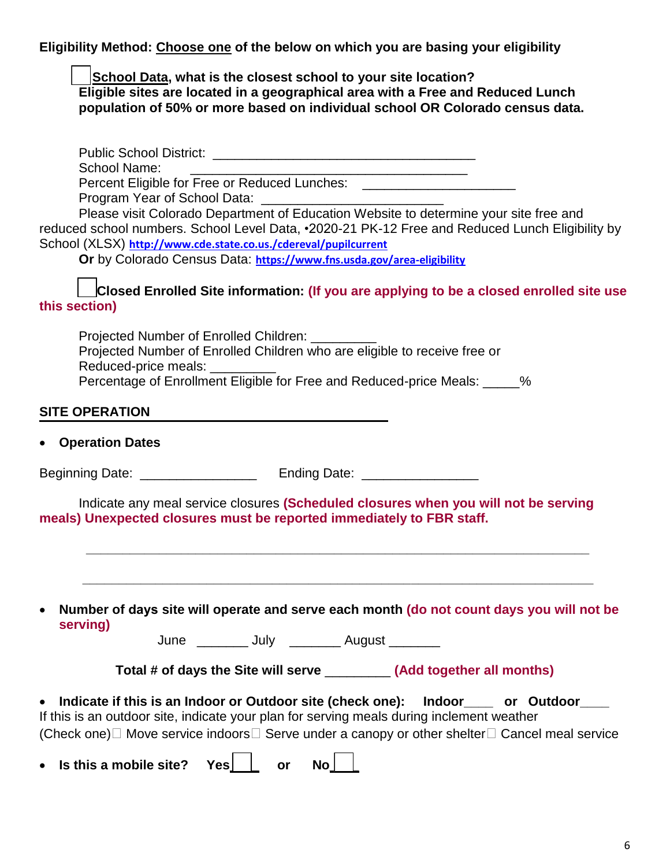**Eligibility Method: Choose one of the below on which you are basing your eligibility** 

**School Data, what is the closest school to your site location? Eligible sites are located in a geographical area with a Free and Reduced Lunch population of 50% or more based on individual school OR Colorado census data.**

| <b>School Name:</b><br><u> 1989 - Johann Harry Harry Harry Harry Harry Harry Harry Harry Harry Harry Harry Harry Harry Harry Harry Harry</u><br>Percent Eligible for Free or Reduced Lunches: __________________________________ |
|----------------------------------------------------------------------------------------------------------------------------------------------------------------------------------------------------------------------------------|
|                                                                                                                                                                                                                                  |
| Please visit Colorado Department of Education Website to determine your site free and                                                                                                                                            |
| reduced school numbers. School Level Data, •2020-21 PK-12 Free and Reduced Lunch Eligibility by                                                                                                                                  |
| School (XLSX) http://www.cde.state.co.us./cdereval/pupilcurrent                                                                                                                                                                  |
| Or by Colorado Census Data: https://www.fns.usda.gov/area-eligibility                                                                                                                                                            |
| Closed Enrolled Site information: (If you are applying to be a closed enrolled site use<br>this section)                                                                                                                         |
| Projected Number of Enrolled Children: _______                                                                                                                                                                                   |
| Projected Number of Enrolled Children who are eligible to receive free or<br>Reduced-price meals: _________                                                                                                                      |
| Percentage of Enrollment Eligible for Free and Reduced-price Meals: _____%                                                                                                                                                       |
| <b>SITE OPERATION</b>                                                                                                                                                                                                            |
| • Operation Dates                                                                                                                                                                                                                |
|                                                                                                                                                                                                                                  |
|                                                                                                                                                                                                                                  |
| Indicate any meal service closures (Scheduled closures when you will not be serving<br>meals) Unexpected closures must be reported immediately to FBR staff.                                                                     |
|                                                                                                                                                                                                                                  |
|                                                                                                                                                                                                                                  |
| Number of days site will operate and serve each month (do not count days you will not be<br>$\bullet$<br>serving)                                                                                                                |
| June ________ July ________ August _______                                                                                                                                                                                       |
| Total # of days the Site will serve __________ (Add together all months)                                                                                                                                                         |
| Indicate if this is an Indoor or Outdoor site (check one):<br>Indoor______ or Outdoor____<br>$\bullet$<br>If this is an outdoor site, indicate your plan for serving meals during inclement weather                              |
| (Check one) $\Box$ Move service indoors $\Box$ Serve under a canopy or other shelter $\Box$ Cancel meal service                                                                                                                  |
| Is this a mobile site?<br>No <sub>1</sub><br>Yes<br>or                                                                                                                                                                           |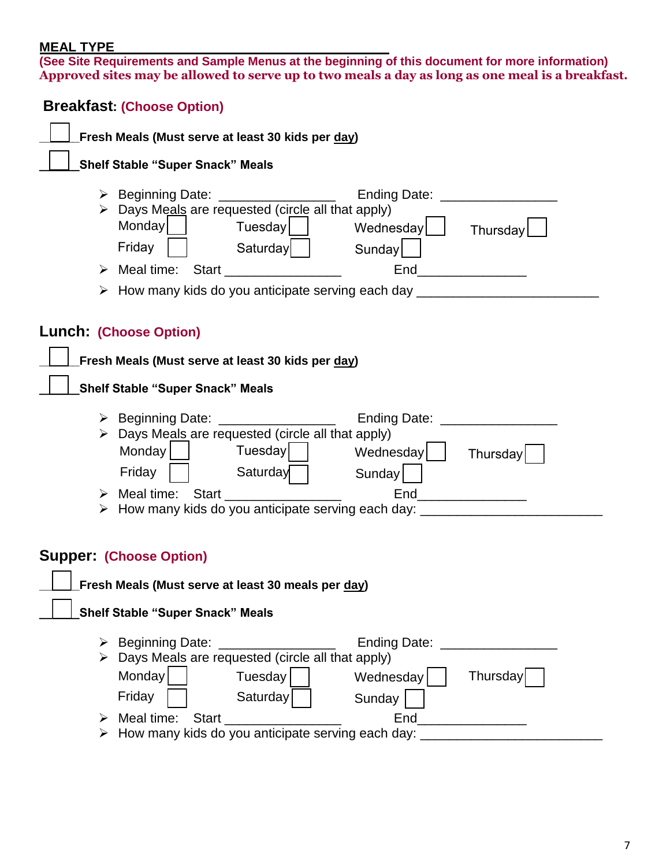#### **MEAL TYPE**

**(See Site Requirements and Sample Menus at the beginning of this document for more information) Approved sites may be allowed to serve up to two meals a day as long as one meal is a breakfast.**

|                                                   | <b>Breakfast: (Choose Option)</b>                                                                                                                                                                                                                                                                                               |  |  |
|---------------------------------------------------|---------------------------------------------------------------------------------------------------------------------------------------------------------------------------------------------------------------------------------------------------------------------------------------------------------------------------------|--|--|
| Fresh Meals (Must serve at least 30 kids per day) |                                                                                                                                                                                                                                                                                                                                 |  |  |
|                                                   | <b>Shelf Stable "Super Snack" Meals</b>                                                                                                                                                                                                                                                                                         |  |  |
|                                                   | $\triangleright$ Beginning Date: _________________<br>Ending Date: _________________<br>> Days Meals are requested (circle all that apply)<br>Monday<br>Tuesday    <br>Wednesday  <br>Thursday<br>Friday<br>Saturday<br>Sunday                                                                                                  |  |  |
|                                                   | > Meal time: Start ________________                                                                                                                                                                                                                                                                                             |  |  |
|                                                   | > How many kids do you anticipate serving each day _________________                                                                                                                                                                                                                                                            |  |  |
|                                                   | Lunch: (Choose Option)<br>Fresh Meals (Must serve at least 30 kids per day)<br><b>Shelf Stable "Super Snack" Meals</b>                                                                                                                                                                                                          |  |  |
|                                                   | > Beginning Date: _______<br>Ending Date: ________________<br>Days Meals are requested (circle all that apply)<br>Monday<br>Tuesday<br>Wednesday  <br>Thursday<br>Friday<br>Saturday<br>Sunday<br>$End$ _____________<br>> Meal time: Start<br>> How many kids do you anticipate serving each day: ____________________________ |  |  |
|                                                   | <b>Supper: (Choose Option)</b><br>Fresh Meals (Must serve at least 30 meals per day)<br><b>Shelf Stable "Super Snack" Meals</b>                                                                                                                                                                                                 |  |  |
| ≻                                                 | > Beginning Date: _______________<br>Ending Date: _________________<br>Days Meals are requested (circle all that apply)<br>Monday<br>Thursday<br>Tuesday<br>Wednesday<br>Friday<br>Saturday<br>Sunday<br>End<br>> How many kids do you anticipate serving each day: ____________________________                                |  |  |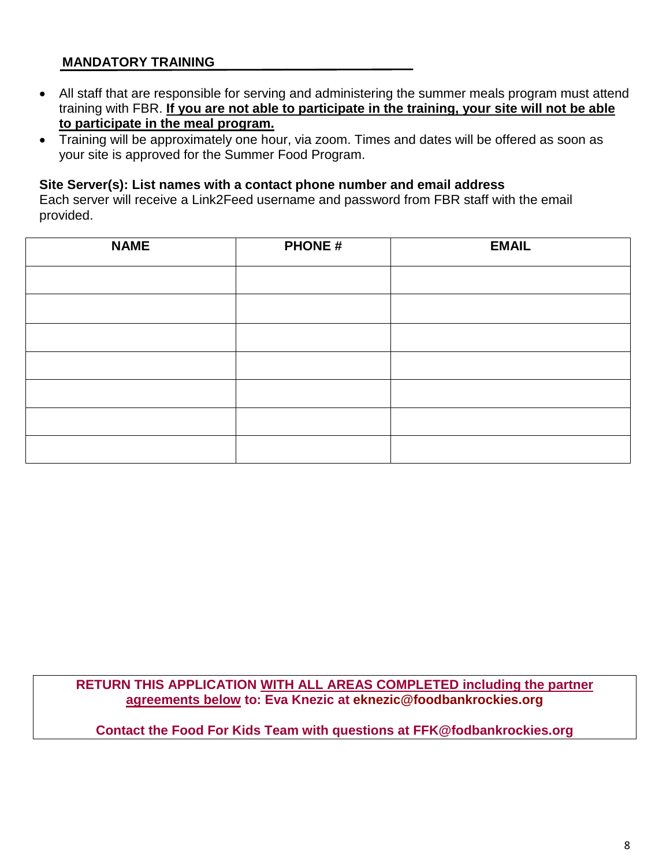## **MANDATORY TRAINING**

- All staff that are responsible for serving and administering the summer meals program must attend training with FBR. **If you are not able to participate in the training, your site will not be able to participate in the meal program.**
- Training will be approximately one hour, via zoom. Times and dates will be offered as soon as your site is approved for the Summer Food Program.

#### **Site Server(s): List names with a contact phone number and email address**

Each server will receive a Link2Feed username and password from FBR staff with the email provided.

| <b>NAME</b> | <b>PHONE#</b> | <b>EMAIL</b> |
|-------------|---------------|--------------|
|             |               |              |
|             |               |              |
|             |               |              |
|             |               |              |
|             |               |              |
|             |               |              |
|             |               |              |

**RETURN THIS APPLICATION WITH ALL AREAS COMPLETED including the partner agreements below to: Eva Knezic at [eknezic@foodbankrockies.org](mailto:eknezic@foodbankrockies.org)**

**Contact the Food For Kids Team with questions at FFK@fodbankrockies.org**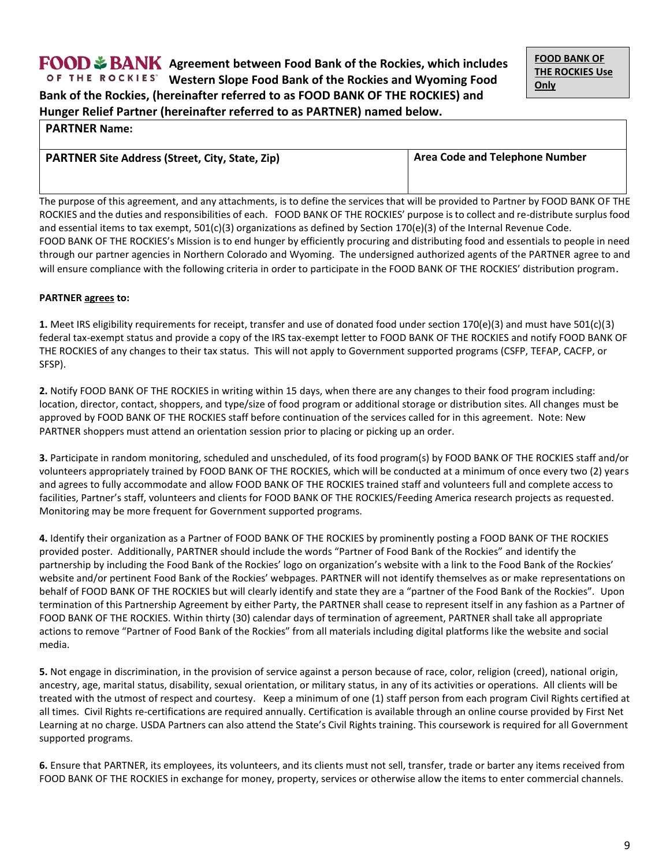**Date Rec'd \_\_\_\_\_\_** 

#### **PARTNER Name:**

| <b>PARTNER Site Address (Street, City, State, Zip)</b> | <b>Area Code and Telephone Number</b> |  |
|--------------------------------------------------------|---------------------------------------|--|
|                                                        |                                       |  |

The purpose of this agreement, and any attachments, is to define the services that will be provided to Partner by FOOD BANK OF THE ROCKIES and the duties and responsibilities of each. FOOD BANK OF THE ROCKIES' purpose is to collect and re-distribute surplus food and essential items to tax exempt,  $501(c)(3)$  organizations as defined by Section 170(e)(3) of the Internal Revenue Code. FOOD BANK OF THE ROCKIES's Mission is to end hunger by efficiently procuring and distributing food and essentials to people in need through our partner agencies in Northern Colorado and Wyoming. The undersigned authorized agents of the PARTNER agree to and will ensure compliance with the following criteria in order to participate in the FOOD BANK OF THE ROCKIES' distribution program.

#### **PARTNER agrees to:**

**1.** Meet IRS eligibility requirements for receipt, transfer and use of donated food under section 170(e)(3) and must have 501(c)(3) federal tax-exempt status and provide a copy of the IRS tax-exempt letter to FOOD BANK OF THE ROCKIES and notify FOOD BANK OF THE ROCKIES of any changes to their tax status. This will not apply to Government supported programs (CSFP, TEFAP, CACFP, or SFSP).

**2.** Notify FOOD BANK OF THE ROCKIES in writing within 15 days, when there are any changes to their food program including: location, director, contact, shoppers, and type/size of food program or additional storage or distribution sites. All changes must be approved by FOOD BANK OF THE ROCKIES staff before continuation of the services called for in this agreement. Note: New PARTNER shoppers must attend an orientation session prior to placing or picking up an order.

**3.** Participate in random monitoring, scheduled and unscheduled, of its food program(s) by FOOD BANK OF THE ROCKIES staff and/or volunteers appropriately trained by FOOD BANK OF THE ROCKIES, which will be conducted at a minimum of once every two (2) years and agrees to fully accommodate and allow FOOD BANK OF THE ROCKIES trained staff and volunteers full and complete access to facilities, Partner's staff, volunteers and clients for FOOD BANK OF THE ROCKIES/Feeding America research projects as requested. Monitoring may be more frequent for Government supported programs.

**4.** Identify their organization as a Partner of FOOD BANK OF THE ROCKIES by prominently posting a FOOD BANK OF THE ROCKIES provided poster. Additionally, PARTNER should include the words "Partner of Food Bank of the Rockies" and identify the partnership by including the Food Bank of the Rockies' logo on organization's website with a link to the Food Bank of the Rockies' website and/or pertinent Food Bank of the Rockies' webpages. PARTNER will not identify themselves as or make representations on behalf of FOOD BANK OF THE ROCKIES but will clearly identify and state they are a "partner of the Food Bank of the Rockies". Upon termination of this Partnership Agreement by either Party, the PARTNER shall cease to represent itself in any fashion as a Partner of FOOD BANK OF THE ROCKIES. Within thirty (30) calendar days of termination of agreement, PARTNER shall take all appropriate actions to remove "Partner of Food Bank of the Rockies" from all materials including digital platforms like the website and social media.

**5.** Not engage in discrimination, in the provision of service against a person because of race, color, religion (creed), national origin, ancestry, age, marital status, disability, sexual orientation, or military status, in any of its activities or operations. All clients will be treated with the utmost of respect and courtesy. Keep a minimum of one (1) staff person from each program Civil Rights certified at all times. Civil Rights re-certifications are required annually. Certification is available through an online course provided by First Net Learning at no charge. USDA Partners can also attend the State's Civil Rights training. This coursework is required for all Government supported programs.

**6.** Ensure that PARTNER, its employees, its volunteers, and its clients must not sell, transfer, trade or barter any items received from FOOD BANK OF THE ROCKIES in exchange for money, property, services or otherwise allow the items to enter commercial channels.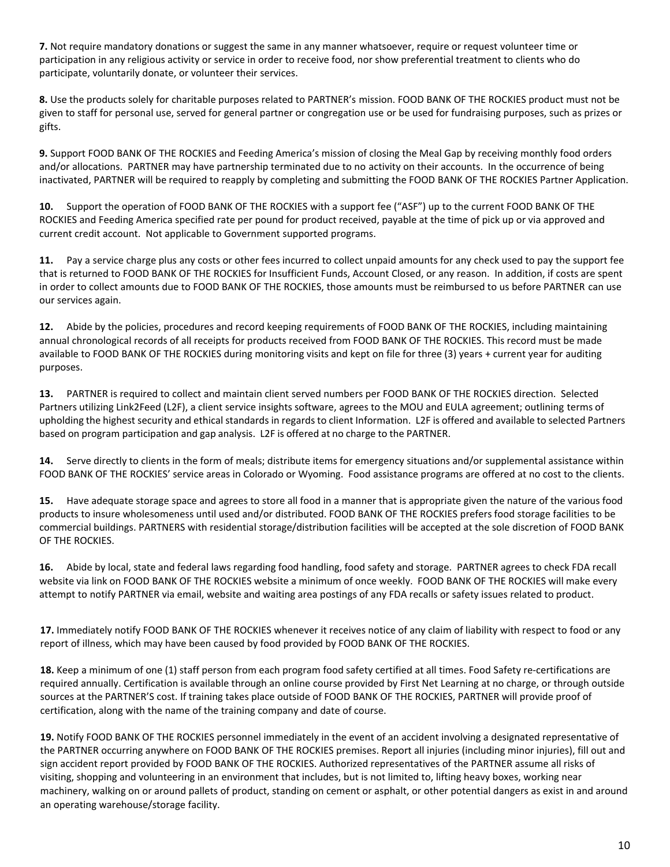**7.** Not require mandatory donations or suggest the same in any manner whatsoever, require or request volunteer time or participation in any religious activity or service in order to receive food, nor show preferential treatment to clients who do participate, voluntarily donate, or volunteer their services.

**8.** Use the products solely for charitable purposes related to PARTNER's mission. FOOD BANK OF THE ROCKIES product must not be given to staff for personal use, served for general partner or congregation use or be used for fundraising purposes, such as prizes or gifts.

**9.** Support FOOD BANK OF THE ROCKIES and Feeding America's mission of closing the Meal Gap by receiving monthly food orders and/or allocations. PARTNER may have partnership terminated due to no activity on their accounts. In the occurrence of being inactivated, PARTNER will be required to reapply by completing and submitting the FOOD BANK OF THE ROCKIES Partner Application.

**10.** Support the operation of FOOD BANK OF THE ROCKIES with a support fee ("ASF") up to the current FOOD BANK OF THE ROCKIES and Feeding America specified rate per pound for product received, payable at the time of pick up or via approved and current credit account. Not applicable to Government supported programs.

**11.** Pay a service charge plus any costs or other fees incurred to collect unpaid amounts for any check used to pay the support fee that is returned to FOOD BANK OF THE ROCKIES for Insufficient Funds, Account Closed, or any reason. In addition, if costs are spent in order to collect amounts due to FOOD BANK OF THE ROCKIES, those amounts must be reimbursed to us before PARTNER can use our services again.

**12.** Abide by the policies, procedures and record keeping requirements of FOOD BANK OF THE ROCKIES, including maintaining annual chronological records of all receipts for products received from FOOD BANK OF THE ROCKIES. This record must be made available to FOOD BANK OF THE ROCKIES during monitoring visits and kept on file for three (3) years + current year for auditing purposes.

**13.** PARTNER is required to collect and maintain client served numbers per FOOD BANK OF THE ROCKIES direction. Selected Partners utilizing Link2Feed (L2F), a client service insights software, agrees to the MOU and EULA agreement; outlining terms of upholding the highest security and ethical standards in regards to client Information. L2F is offered and available to selected Partners based on program participation and gap analysis. L2F is offered at no charge to the PARTNER.

**14.** Serve directly to clients in the form of meals; distribute items for emergency situations and/or supplemental assistance within FOOD BANK OF THE ROCKIES' service areas in Colorado or Wyoming. Food assistance programs are offered at no cost to the clients.

**15.** Have adequate storage space and agrees to store all food in a manner that is appropriate given the nature of the various food products to insure wholesomeness until used and/or distributed. FOOD BANK OF THE ROCKIES prefers food storage facilities to be commercial buildings. PARTNERS with residential storage/distribution facilities will be accepted at the sole discretion of FOOD BANK OF THE ROCKIES.

**16.** Abide by local, state and federal laws regarding food handling, food safety and storage. PARTNER agrees to check FDA recall website via link on FOOD BANK OF THE ROCKIES website a minimum of once weekly. FOOD BANK OF THE ROCKIES will make every attempt to notify PARTNER via email, website and waiting area postings of any FDA recalls or safety issues related to product.

**17.** Immediately notify FOOD BANK OF THE ROCKIES whenever it receives notice of any claim of liability with respect to food or any report of illness, which may have been caused by food provided by FOOD BANK OF THE ROCKIES.

**18.** Keep a minimum of one (1) staff person from each program food safety certified at all times. Food Safety re-certifications are required annually. Certification is available through an online course provided by First Net Learning at no charge, or through outside sources at the PARTNER'S cost. If training takes place outside of FOOD BANK OF THE ROCKIES, PARTNER will provide proof of certification, along with the name of the training company and date of course.

**19.** Notify FOOD BANK OF THE ROCKIES personnel immediately in the event of an accident involving a designated representative of the PARTNER occurring anywhere on FOOD BANK OF THE ROCKIES premises. Report all injuries (including minor injuries), fill out and sign accident report provided by FOOD BANK OF THE ROCKIES. Authorized representatives of the PARTNER assume all risks of visiting, shopping and volunteering in an environment that includes, but is not limited to, lifting heavy boxes, working near machinery, walking on or around pallets of product, standing on cement or asphalt, or other potential dangers as exist in and around an operating warehouse/storage facility.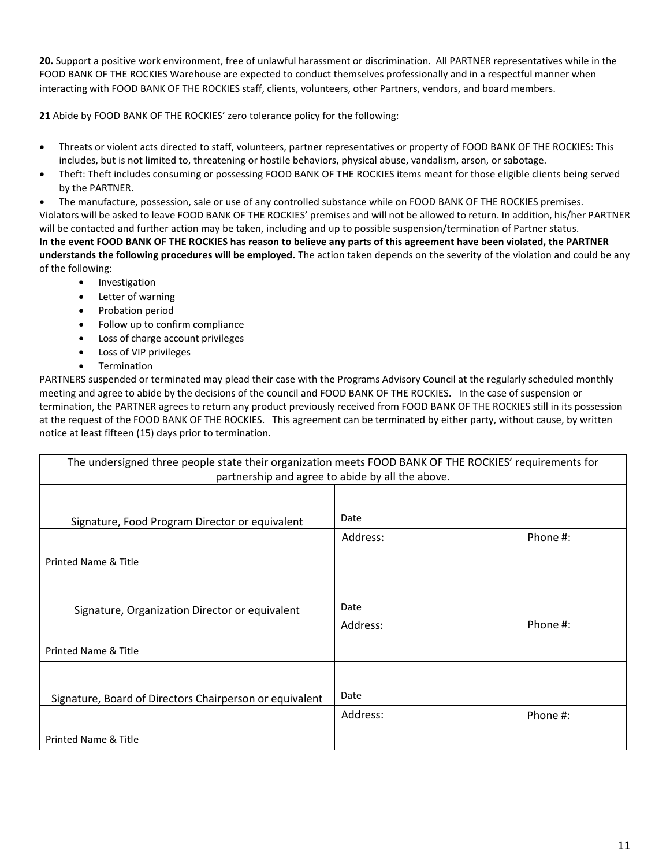**20.** Support a positive work environment, free of unlawful harassment or discrimination. All PARTNER representatives while in the FOOD BANK OF THE ROCKIES Warehouse are expected to conduct themselves professionally and in a respectful manner when interacting with FOOD BANK OF THE ROCKIES staff, clients, volunteers, other Partners, vendors, and board members.

**21** Abide by FOOD BANK OF THE ROCKIES' zero tolerance policy for the following:

- Threats or violent acts directed to staff, volunteers, partner representatives or property of FOOD BANK OF THE ROCKIES: This includes, but is not limited to, threatening or hostile behaviors, physical abuse, vandalism, arson, or sabotage.
- Theft: Theft includes consuming or possessing FOOD BANK OF THE ROCKIES items meant for those eligible clients being served by the PARTNER.

• The manufacture, possession, sale or use of any controlled substance while on FOOD BANK OF THE ROCKIES premises. Violators will be asked to leave FOOD BANK OF THE ROCKIES' premises and will not be allowed to return. In addition, his/her PARTNER will be contacted and further action may be taken, including and up to possible suspension/termination of Partner status. **In the event FOOD BANK OF THE ROCKIES has reason to believe any parts of this agreement have been violated, the PARTNER understands the following procedures will be employed.** The action taken depends on the severity of the violation and could be any of the following:

- Investigation
- Letter of warning
- Probation period
- Follow up to confirm compliance
- Loss of charge account privileges
- Loss of VIP privileges
- Termination

PARTNERS suspended or terminated may plead their case with the Programs Advisory Council at the regularly scheduled monthly meeting and agree to abide by the decisions of the council and FOOD BANK OF THE ROCKIES. In the case of suspension or termination, the PARTNER agrees to return any product previously received from FOOD BANK OF THE ROCKIES still in its possession at the request of the FOOD BANK OF THE ROCKIES. This agreement can be terminated by either party, without cause, by written notice at least fifteen (15) days prior to termination.

| The undersigned three people state their organization meets FOOD BANK OF THE ROCKIES' requirements for |          |          |
|--------------------------------------------------------------------------------------------------------|----------|----------|
| partnership and agree to abide by all the above.                                                       |          |          |
|                                                                                                        |          |          |
| Signature, Food Program Director or equivalent                                                         | Date     |          |
|                                                                                                        | Address: | Phone #: |
| <b>Printed Name &amp; Title</b>                                                                        |          |          |
|                                                                                                        |          |          |
| Signature, Organization Director or equivalent                                                         | Date     |          |
|                                                                                                        | Address: | Phone #: |
| <b>Printed Name &amp; Title</b>                                                                        |          |          |
|                                                                                                        |          |          |
| Signature, Board of Directors Chairperson or equivalent                                                | Date     |          |
|                                                                                                        | Address: | Phone #: |
| <b>Printed Name &amp; Title</b>                                                                        |          |          |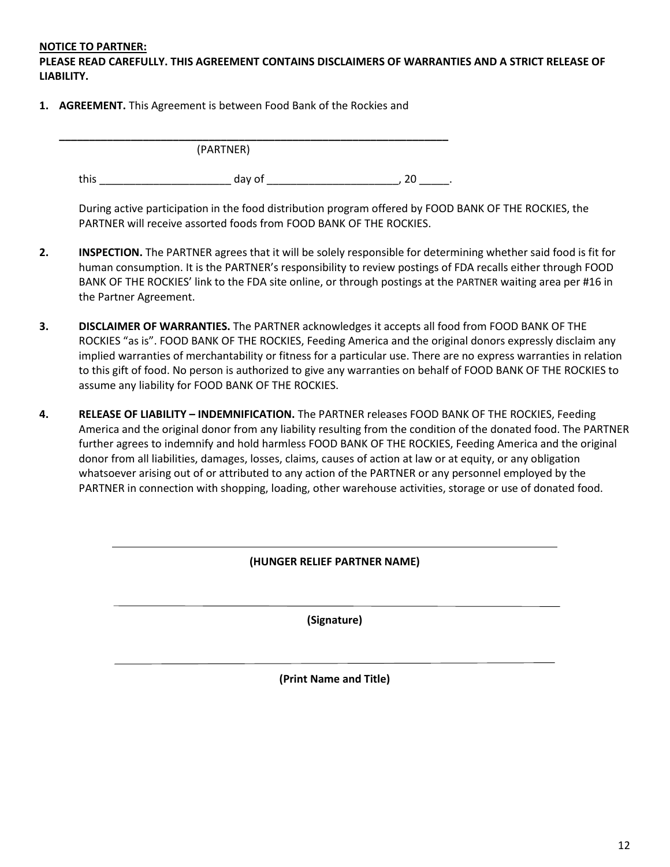#### **NOTICE TO PARTNER:**

**PLEASE READ CAREFULLY. THIS AGREEMENT CONTAINS DISCLAIMERS OF WARRANTIES AND A STRICT RELEASE OF LIABILITY.** 

**1. AGREEMENT.** This Agreement is between Food Bank of the Rockies and

|      | (PARTNER) |  |
|------|-----------|--|
| this | day of    |  |

During active participation in the food distribution program offered by FOOD BANK OF THE ROCKIES, the PARTNER will receive assorted foods from FOOD BANK OF THE ROCKIES.

- **2. INSPECTION.** The PARTNER agrees that it will be solely responsible for determining whether said food is fit for human consumption. It is the PARTNER's responsibility to review postings of FDA recalls either through FOOD BANK OF THE ROCKIES' link to the FDA site online, or through postings at the PARTNER waiting area per #16 in the Partner Agreement.
- **3. DISCLAIMER OF WARRANTIES.** The PARTNER acknowledges it accepts all food from FOOD BANK OF THE ROCKIES "as is". FOOD BANK OF THE ROCKIES, Feeding America and the original donors expressly disclaim any implied warranties of merchantability or fitness for a particular use. There are no express warranties in relation to this gift of food. No person is authorized to give any warranties on behalf of FOOD BANK OF THE ROCKIES to assume any liability for FOOD BANK OF THE ROCKIES.
- **4. RELEASE OF LIABILITY – INDEMNIFICATION.** The PARTNER releases FOOD BANK OF THE ROCKIES, Feeding America and the original donor from any liability resulting from the condition of the donated food. The PARTNER further agrees to indemnify and hold harmless FOOD BANK OF THE ROCKIES, Feeding America and the original donor from all liabilities, damages, losses, claims, causes of action at law or at equity, or any obligation whatsoever arising out of or attributed to any action of the PARTNER or any personnel employed by the PARTNER in connection with shopping, loading, other warehouse activities, storage or use of donated food.

**(Signature)**

**(Print Name and Title)**